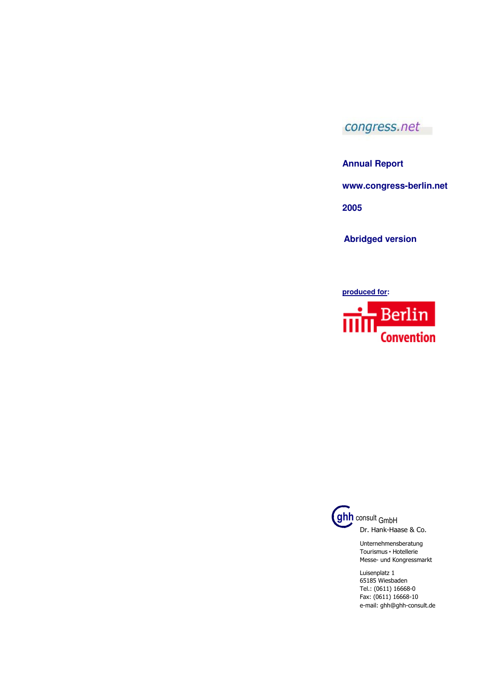## congress.net

**Annual Report** 

**www.congress-berlin.net** 

**2005** 

**Abridged version** 

**produced for:** 



**ghh** consult GmbH Dr. Hank-Haase & Co.

> Unternehmensberatung Tourismus • Hotellerie Messe- und Kongressmarkt

Luisenplatz 1 65185 Wiesbaden Tel.: (0611) 16668-0 Fax: (0611) 16668-10 e-mail: ghh@ghh-consult.de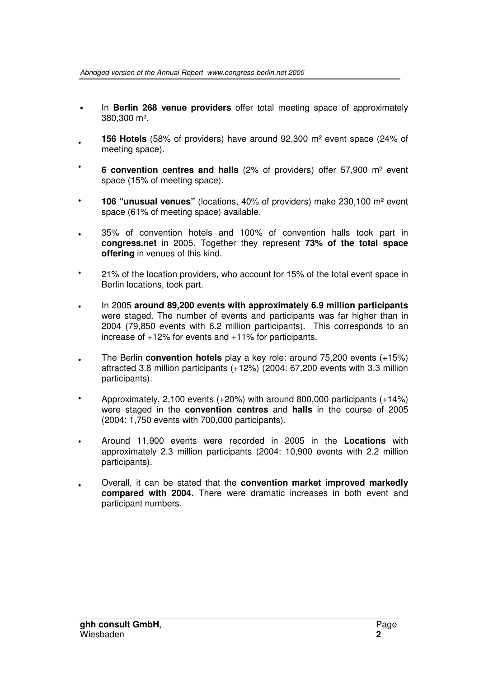- In **Berlin 268 venue providers** offer total meeting space of approximately 380,300 m².
- **156 Hotels** (58% of providers) have around 92,300 m² event space (24% of meeting space). •
- **6 convention centres and halls** (2% of providers) offer 57,900 m² event space (15% of meeting space). •
- **106 "unusual venues"** (locations, 40% of providers) make 230,100 m² event space (61% of meeting space) available. •
- 35% of convention hotels and 100% of convention halls took part in **congress.net** in 2005. Together they represent **73% of the total space offering** in venues of this kind. •
- 21% of the location providers, who account for 15% of the total event space in Berlin locations, took part. •
- In 2005 **around 89,200 events with approximately 6.9 million participants** were staged. The number of events and participants was far higher than in 2004 (79,850 events with 6.2 million participants). This corresponds to an increase of +12% for events and +11% for participants. •
- The Berlin **convention hotels** play a key role: around 75,200 events (+15%) attracted 3.8 million participants (+12%) (2004: 67,200 events with 3.3 million participants). •
- Approximately, 2,100 events (+20%) with around 800,000 participants (+14%) were staged in the **convention centres** and **halls** in the course of 2005 (2004: 1,750 events with 700,000 participants). •
- Around 11,900 events were recorded in 2005 in the **Locations** with approximately 2.3 million participants (2004: 10,900 events with 2.2 million participants). •
- Overall, it can be stated that the **convention market improved markedly compared with 2004.** There were dramatic increases in both event and participant numbers. •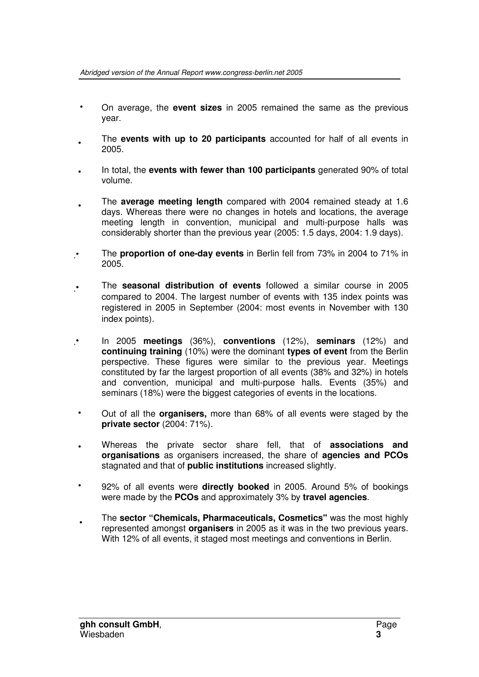- On average, the **event sizes** in 2005 remained the same as the previous year.
- The **events with up to 20 participants** accounted for half of all events in 2005.
- In total, the **events with fewer than 100 participants** generated 90% of total volume.
- The **average meeting length** compared with 2004 remained steady at 1.6 days. Whereas there were no changes in hotels and locations, the average meeting length in convention, municipal and multi-purpose halls was considerably shorter than the previous year (2005: 1.5 days, 2004: 1.9 days).
- The **proportion of one-day events** in Berlin fell from 73% in 2004 to 71% in 2005.
- The **seasonal distribution of events** followed a similar course in 2005 compared to 2004. The largest number of events with 135 index points was registered in 2005 in September (2004: most events in November with 130 index points).
- In 2005 **meetings** (36%), **conventions** (12%), **seminars** (12%) and **continuing training** (10%) were the dominant **types of event** from the Berlin perspective. These figures were similar to the previous year. Meetings constituted by far the largest proportion of all events (38% and 32%) in hotels and convention, municipal and multi-purpose halls. Events (35%) and seminars (18%) were the biggest categories of events in the locations.
- Out of all the **organisers,** more than 68% of all events were staged by the **private sector** (2004: 71%).
- Whereas the private sector share fell, that of **associations and organisations** as organisers increased, the share of **agencies and PCOs** stagnated and that of **public institutions** increased slightly.
- 92% of all events were **directly booked** in 2005. Around 5% of bookings were made by the **PCOs** and approximately 3% by **travel agencies**.
- The **sector "Chemicals, Pharmaceuticals, Cosmetics"** was the most highly represented amongst **organisers** in 2005 as it was in the two previous years. With 12% of all events, it staged most meetings and conventions in Berlin. •